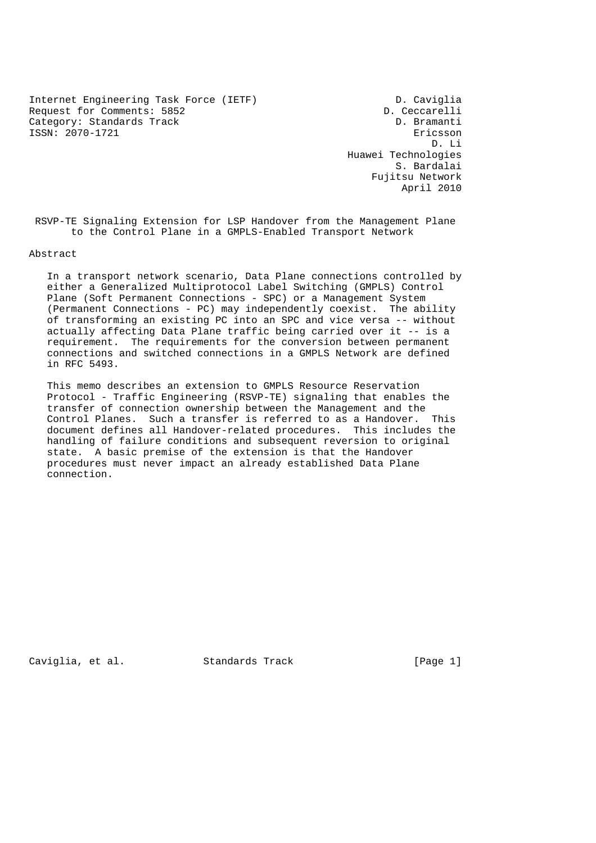Internet Engineering Task Force (IETF) D. Caviglia Request for Comments: 5852 D. Ceccarelli Category: Standards Track D. Bramanti ISSN: 2070-1721 Ericsson

 D. Li Huawei Technologies S. Bardalai Fujitsu Network April 2010

 RSVP-TE Signaling Extension for LSP Handover from the Management Plane to the Control Plane in a GMPLS-Enabled Transport Network

Abstract

 In a transport network scenario, Data Plane connections controlled by either a Generalized Multiprotocol Label Switching (GMPLS) Control Plane (Soft Permanent Connections - SPC) or a Management System (Permanent Connections - PC) may independently coexist. The ability of transforming an existing PC into an SPC and vice versa -- without actually affecting Data Plane traffic being carried over it -- is a requirement. The requirements for the conversion between permanent connections and switched connections in a GMPLS Network are defined in RFC 5493.

 This memo describes an extension to GMPLS Resource Reservation Protocol - Traffic Engineering (RSVP-TE) signaling that enables the transfer of connection ownership between the Management and the Control Planes. Such a transfer is referred to as a Handover. This document defines all Handover-related procedures. This includes the handling of failure conditions and subsequent reversion to original state. A basic premise of the extension is that the Handover procedures must never impact an already established Data Plane connection.

Caviglia, et al. Standards Track [Page 1]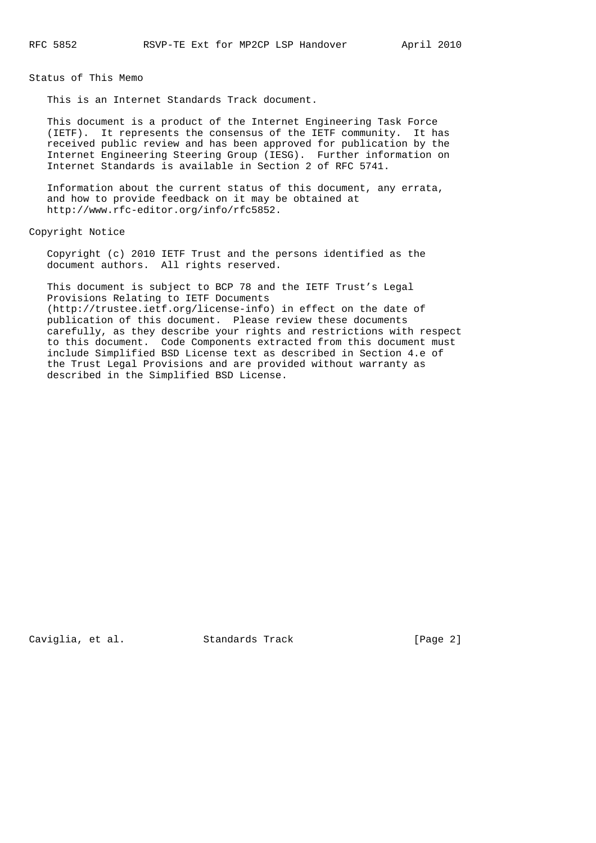Status of This Memo

This is an Internet Standards Track document.

 This document is a product of the Internet Engineering Task Force (IETF). It represents the consensus of the IETF community. It has received public review and has been approved for publication by the Internet Engineering Steering Group (IESG). Further information on Internet Standards is available in Section 2 of RFC 5741.

 Information about the current status of this document, any errata, and how to provide feedback on it may be obtained at http://www.rfc-editor.org/info/rfc5852.

Copyright Notice

 Copyright (c) 2010 IETF Trust and the persons identified as the document authors. All rights reserved.

 This document is subject to BCP 78 and the IETF Trust's Legal Provisions Relating to IETF Documents (http://trustee.ietf.org/license-info) in effect on the date of publication of this document. Please review these documents carefully, as they describe your rights and restrictions with respect to this document. Code Components extracted from this document must include Simplified BSD License text as described in Section 4.e of the Trust Legal Provisions and are provided without warranty as described in the Simplified BSD License.

Caviglia, et al. Standards Track [Page 2]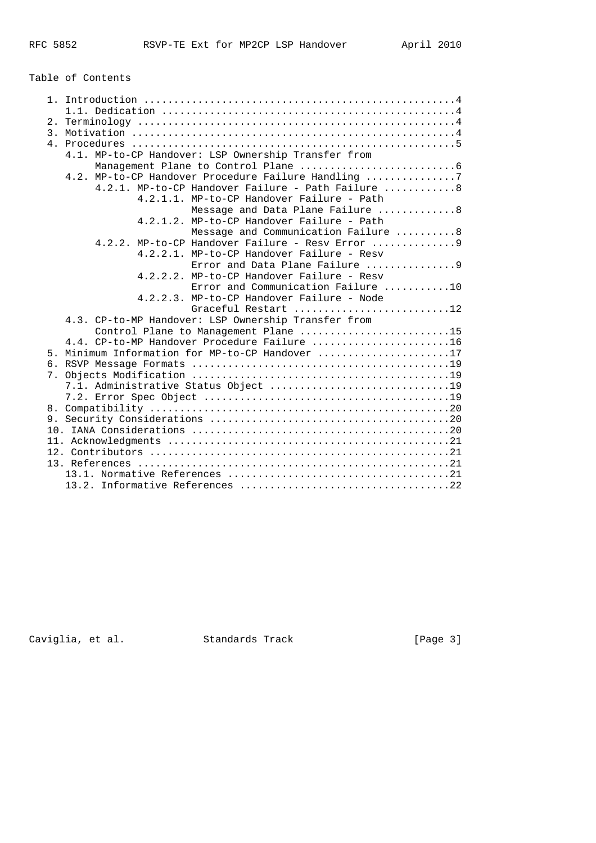Table of Contents

| 2.               |                                                     |  |  |  |  |
|------------------|-----------------------------------------------------|--|--|--|--|
| $\overline{3}$ . |                                                     |  |  |  |  |
|                  |                                                     |  |  |  |  |
|                  | 4.1. MP-to-CP Handover: LSP Ownership Transfer from |  |  |  |  |
|                  |                                                     |  |  |  |  |
|                  | 4.2. MP-to-CP Handover Procedure Failure Handling 7 |  |  |  |  |
|                  | 4.2.1. MP-to-CP Handover Failure - Path Failure 8   |  |  |  |  |
|                  | 4.2.1.1. MP-to-CP Handover Failure - Path           |  |  |  |  |
|                  | Message and Data Plane Failure 8                    |  |  |  |  |
|                  | 4.2.1.2. MP-to-CP Handover Failure - Path           |  |  |  |  |
|                  | Message and Communication Failure 8                 |  |  |  |  |
|                  | $4.2.2.$ MP-to-CP Handover Failure - Resy Error  9  |  |  |  |  |
|                  | 4.2.2.1. MP-to-CP Handover Failure - Resv           |  |  |  |  |
|                  |                                                     |  |  |  |  |
|                  | $4.2.2.2.$ MP-to-CP Handover Failure - Resy         |  |  |  |  |
|                  | Error and Communication Failure 10                  |  |  |  |  |
|                  | 4.2.2.3. MP-to-CP Handover Failure - Node           |  |  |  |  |
|                  | Graceful Restart 12                                 |  |  |  |  |
|                  | 4.3. CP-to-MP Handover: LSP Ownership Transfer from |  |  |  |  |
|                  | Control Plane to Management Plane 15                |  |  |  |  |
|                  | 4.4. CP-to-MP Handover Procedure Failure 16         |  |  |  |  |
| 5.               | Minimum Information for MP-to-CP Handover 17        |  |  |  |  |
|                  |                                                     |  |  |  |  |
|                  |                                                     |  |  |  |  |
|                  |                                                     |  |  |  |  |
|                  |                                                     |  |  |  |  |
|                  |                                                     |  |  |  |  |
|                  |                                                     |  |  |  |  |
|                  |                                                     |  |  |  |  |
|                  |                                                     |  |  |  |  |
|                  |                                                     |  |  |  |  |
|                  |                                                     |  |  |  |  |
|                  |                                                     |  |  |  |  |
|                  |                                                     |  |  |  |  |

Caviglia, et al. Standards Track [Page 3]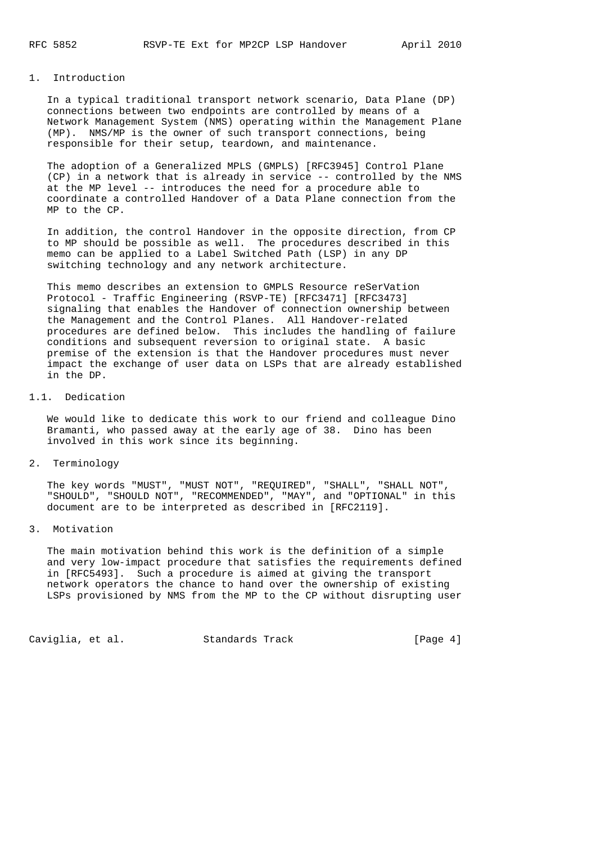## 1. Introduction

 In a typical traditional transport network scenario, Data Plane (DP) connections between two endpoints are controlled by means of a Network Management System (NMS) operating within the Management Plane (MP). NMS/MP is the owner of such transport connections, being responsible for their setup, teardown, and maintenance.

 The adoption of a Generalized MPLS (GMPLS) [RFC3945] Control Plane (CP) in a network that is already in service -- controlled by the NMS at the MP level -- introduces the need for a procedure able to coordinate a controlled Handover of a Data Plane connection from the MP to the CP.

 In addition, the control Handover in the opposite direction, from CP to MP should be possible as well. The procedures described in this memo can be applied to a Label Switched Path (LSP) in any DP switching technology and any network architecture.

 This memo describes an extension to GMPLS Resource reSerVation Protocol - Traffic Engineering (RSVP-TE) [RFC3471] [RFC3473] signaling that enables the Handover of connection ownership between the Management and the Control Planes. All Handover-related procedures are defined below. This includes the handling of failure conditions and subsequent reversion to original state. A basic premise of the extension is that the Handover procedures must never impact the exchange of user data on LSPs that are already established in the DP.

#### 1.1. Dedication

 We would like to dedicate this work to our friend and colleague Dino Bramanti, who passed away at the early age of 38. Dino has been involved in this work since its beginning.

2. Terminology

 The key words "MUST", "MUST NOT", "REQUIRED", "SHALL", "SHALL NOT", "SHOULD", "SHOULD NOT", "RECOMMENDED", "MAY", and "OPTIONAL" in this document are to be interpreted as described in [RFC2119].

3. Motivation

 The main motivation behind this work is the definition of a simple and very low-impact procedure that satisfies the requirements defined in [RFC5493]. Such a procedure is aimed at giving the transport network operators the chance to hand over the ownership of existing LSPs provisioned by NMS from the MP to the CP without disrupting user

Caviglia, et al. Standards Track [Page 4]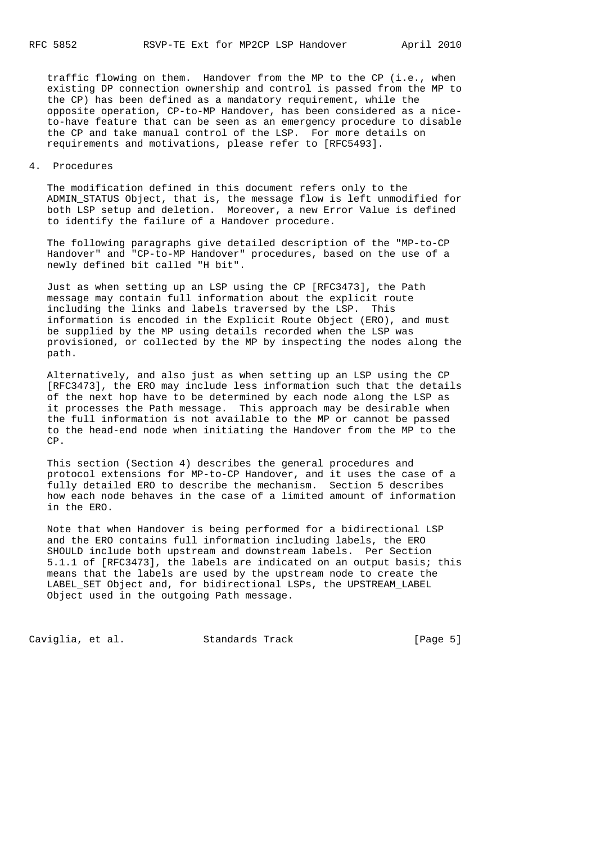traffic flowing on them. Handover from the MP to the CP (i.e., when existing DP connection ownership and control is passed from the MP to the CP) has been defined as a mandatory requirement, while the opposite operation, CP-to-MP Handover, has been considered as a nice to-have feature that can be seen as an emergency procedure to disable the CP and take manual control of the LSP. For more details on requirements and motivations, please refer to [RFC5493].

### 4. Procedures

 The modification defined in this document refers only to the ADMIN\_STATUS Object, that is, the message flow is left unmodified for both LSP setup and deletion. Moreover, a new Error Value is defined to identify the failure of a Handover procedure.

 The following paragraphs give detailed description of the "MP-to-CP Handover" and "CP-to-MP Handover" procedures, based on the use of a newly defined bit called "H bit".

 Just as when setting up an LSP using the CP [RFC3473], the Path message may contain full information about the explicit route including the links and labels traversed by the LSP. This information is encoded in the Explicit Route Object (ERO), and must be supplied by the MP using details recorded when the LSP was provisioned, or collected by the MP by inspecting the nodes along the path.

 Alternatively, and also just as when setting up an LSP using the CP [RFC3473], the ERO may include less information such that the details of the next hop have to be determined by each node along the LSP as it processes the Path message. This approach may be desirable when the full information is not available to the MP or cannot be passed to the head-end node when initiating the Handover from the MP to the CP.

 This section (Section 4) describes the general procedures and protocol extensions for MP-to-CP Handover, and it uses the case of a fully detailed ERO to describe the mechanism. Section 5 describes how each node behaves in the case of a limited amount of information in the ERO.

 Note that when Handover is being performed for a bidirectional LSP and the ERO contains full information including labels, the ERO SHOULD include both upstream and downstream labels. Per Section 5.1.1 of [RFC3473], the labels are indicated on an output basis; this means that the labels are used by the upstream node to create the LABEL\_SET Object and, for bidirectional LSPs, the UPSTREAM\_LABEL Object used in the outgoing Path message.

Caviglia, et al. Standards Track [Page 5]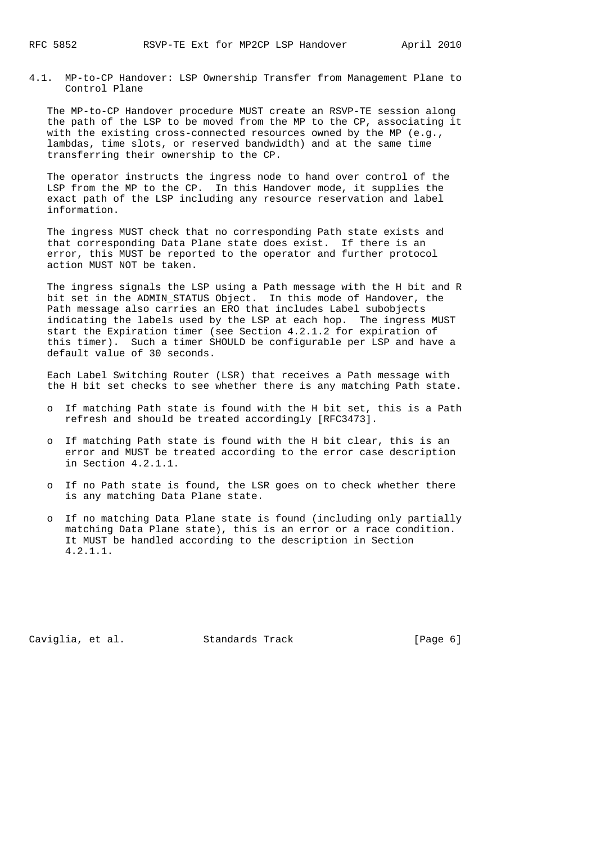4.1. MP-to-CP Handover: LSP Ownership Transfer from Management Plane to Control Plane

 The MP-to-CP Handover procedure MUST create an RSVP-TE session along the path of the LSP to be moved from the MP to the CP, associating it with the existing cross-connected resources owned by the MP (e.g., lambdas, time slots, or reserved bandwidth) and at the same time transferring their ownership to the CP.

 The operator instructs the ingress node to hand over control of the LSP from the MP to the CP. In this Handover mode, it supplies the exact path of the LSP including any resource reservation and label information.

 The ingress MUST check that no corresponding Path state exists and that corresponding Data Plane state does exist. If there is an error, this MUST be reported to the operator and further protocol action MUST NOT be taken.

 The ingress signals the LSP using a Path message with the H bit and R bit set in the ADMIN\_STATUS Object. In this mode of Handover, the Path message also carries an ERO that includes Label subobjects indicating the labels used by the LSP at each hop. The ingress MUST start the Expiration timer (see Section 4.2.1.2 for expiration of this timer). Such a timer SHOULD be configurable per LSP and have a default value of 30 seconds.

 Each Label Switching Router (LSR) that receives a Path message with the H bit set checks to see whether there is any matching Path state.

- o If matching Path state is found with the H bit set, this is a Path refresh and should be treated accordingly [RFC3473].
- o If matching Path state is found with the H bit clear, this is an error and MUST be treated according to the error case description in Section 4.2.1.1.
- o If no Path state is found, the LSR goes on to check whether there is any matching Data Plane state.
- o If no matching Data Plane state is found (including only partially matching Data Plane state), this is an error or a race condition. It MUST be handled according to the description in Section 4.2.1.1.

Caviglia, et al. Standards Track [Page 6]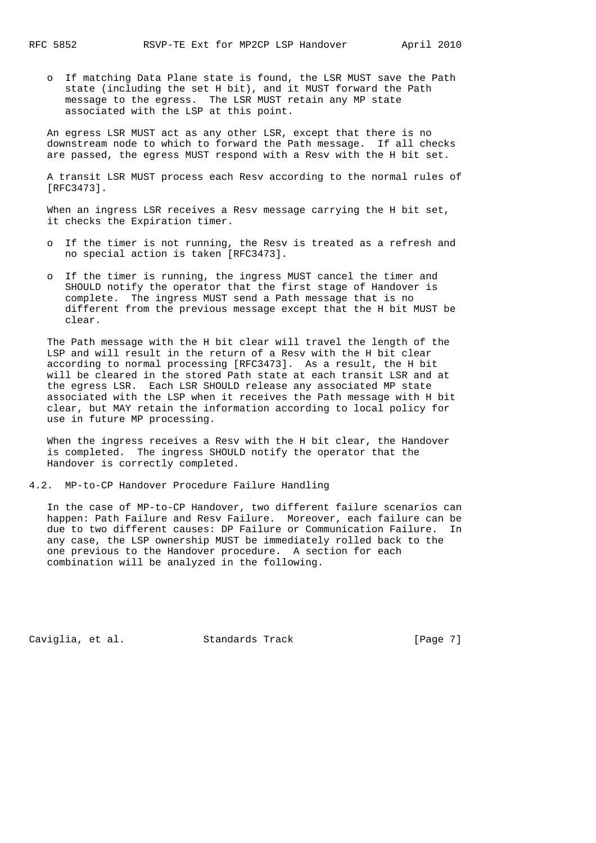o If matching Data Plane state is found, the LSR MUST save the Path state (including the set H bit), and it MUST forward the Path message to the egress. The LSR MUST retain any MP state associated with the LSP at this point.

 An egress LSR MUST act as any other LSR, except that there is no downstream node to which to forward the Path message. If all checks are passed, the egress MUST respond with a Resv with the H bit set.

 A transit LSR MUST process each Resv according to the normal rules of [RFC3473].

 When an ingress LSR receives a Resv message carrying the H bit set, it checks the Expiration timer.

- o If the timer is not running, the Resv is treated as a refresh and no special action is taken [RFC3473].
- o If the timer is running, the ingress MUST cancel the timer and SHOULD notify the operator that the first stage of Handover is complete. The ingress MUST send a Path message that is no different from the previous message except that the H bit MUST be clear.

 The Path message with the H bit clear will travel the length of the LSP and will result in the return of a Resv with the H bit clear according to normal processing [RFC3473]. As a result, the H bit will be cleared in the stored Path state at each transit LSR and at the egress LSR. Each LSR SHOULD release any associated MP state associated with the LSP when it receives the Path message with H bit clear, but MAY retain the information according to local policy for use in future MP processing.

 When the ingress receives a Resv with the H bit clear, the Handover is completed. The ingress SHOULD notify the operator that the Handover is correctly completed.

4.2. MP-to-CP Handover Procedure Failure Handling

 In the case of MP-to-CP Handover, two different failure scenarios can happen: Path Failure and Resv Failure. Moreover, each failure can be due to two different causes: DP Failure or Communication Failure. In any case, the LSP ownership MUST be immediately rolled back to the one previous to the Handover procedure. A section for each combination will be analyzed in the following.

Caviglia, et al. Standards Track [Page 7]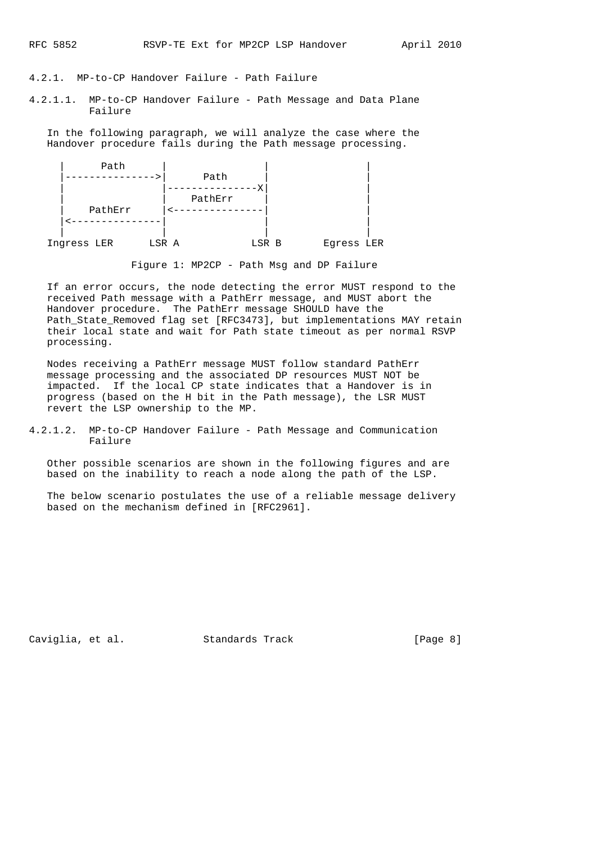# 4.2.1. MP-to-CP Handover Failure - Path Failure

4.2.1.1. MP-to-CP Handover Failure - Path Message and Data Plane Failure

 In the following paragraph, we will analyze the case where the Handover procedure fails during the Path message processing.



Figure 1: MP2CP - Path Msg and DP Failure

 If an error occurs, the node detecting the error MUST respond to the received Path message with a PathErr message, and MUST abort the Handover procedure. The PathErr message SHOULD have the Path\_State\_Removed flag set [RFC3473], but implementations MAY retain their local state and wait for Path state timeout as per normal RSVP processing.

 Nodes receiving a PathErr message MUST follow standard PathErr message processing and the associated DP resources MUST NOT be impacted. If the local CP state indicates that a Handover is in progress (based on the H bit in the Path message), the LSR MUST revert the LSP ownership to the MP.

4.2.1.2. MP-to-CP Handover Failure - Path Message and Communication Failure

 Other possible scenarios are shown in the following figures and are based on the inability to reach a node along the path of the LSP.

 The below scenario postulates the use of a reliable message delivery based on the mechanism defined in [RFC2961].

Caviglia, et al. Standards Track [Page 8]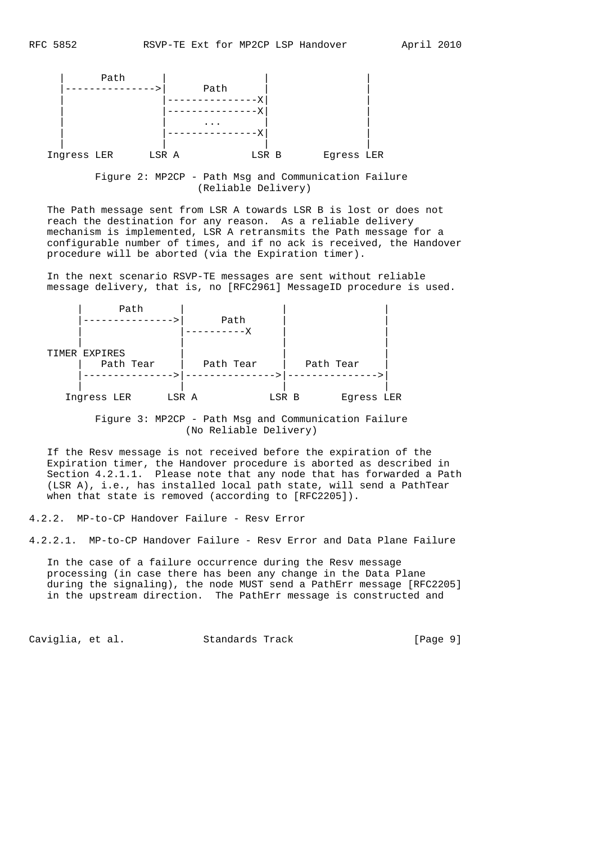

 Figure 2: MP2CP - Path Msg and Communication Failure (Reliable Delivery)

 The Path message sent from LSR A towards LSR B is lost or does not reach the destination for any reason. As a reliable delivery mechanism is implemented, LSR A retransmits the Path message for a configurable number of times, and if no ack is received, the Handover procedure will be aborted (via the Expiration timer).

 In the next scenario RSVP-TE messages are sent without reliable message delivery, that is, no [RFC2961] MessageID procedure is used.

| Path          |           |       |           |            |  |
|---------------|-----------|-------|-----------|------------|--|
| . <u>.</u> .  | Path      |       |           |            |  |
|               | $------X$ |       |           |            |  |
|               |           |       |           |            |  |
| TIMER EXPIRES |           |       |           |            |  |
| Path Tear     | Path Tear |       | Path Tear |            |  |
|               |           |       |           |            |  |
|               |           |       |           |            |  |
| Ingress LER   | LSR A     | LSR B |           | Eqress LER |  |

 Figure 3: MP2CP - Path Msg and Communication Failure (No Reliable Delivery)

 If the Resv message is not received before the expiration of the Expiration timer, the Handover procedure is aborted as described in Section 4.2.1.1. Please note that any node that has forwarded a Path (LSR A), i.e., has installed local path state, will send a PathTear when that state is removed (according to [RFC2205]).

4.2.2. MP-to-CP Handover Failure - Resv Error

4.2.2.1. MP-to-CP Handover Failure - Resv Error and Data Plane Failure

 In the case of a failure occurrence during the Resv message processing (in case there has been any change in the Data Plane during the signaling), the node MUST send a PathErr message [RFC2205] in the upstream direction. The PathErr message is constructed and

Caviglia, et al. Standards Track [Page 9]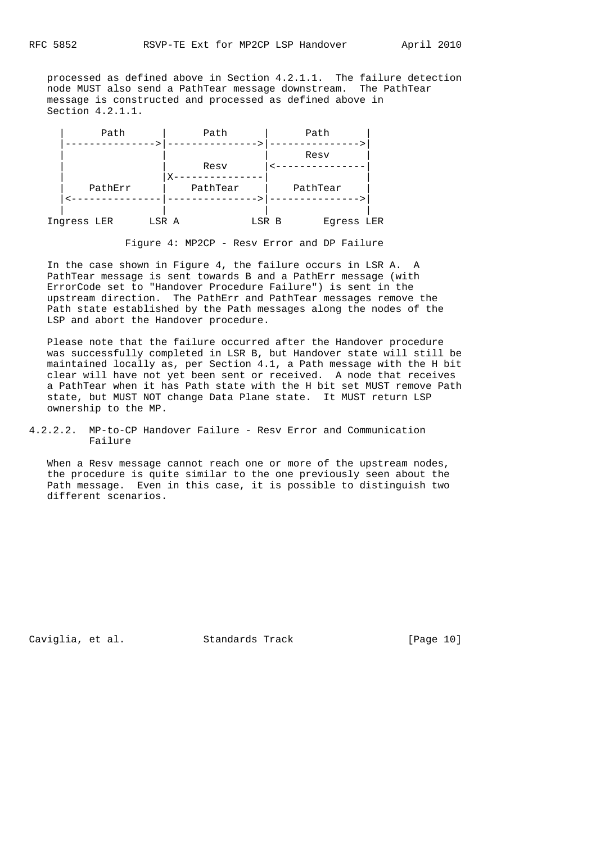processed as defined above in Section 4.2.1.1. The failure detection node MUST also send a PathTear message downstream. The PathTear message is constructed and processed as defined above in Section 4.2.1.1.



Figure 4: MP2CP - Resv Error and DP Failure

 In the case shown in Figure 4, the failure occurs in LSR A. A PathTear message is sent towards B and a PathErr message (with ErrorCode set to "Handover Procedure Failure") is sent in the upstream direction. The PathErr and PathTear messages remove the Path state established by the Path messages along the nodes of the LSP and abort the Handover procedure.

 Please note that the failure occurred after the Handover procedure was successfully completed in LSR B, but Handover state will still be maintained locally as, per Section 4.1, a Path message with the H bit clear will have not yet been sent or received. A node that receives a PathTear when it has Path state with the H bit set MUST remove Path state, but MUST NOT change Data Plane state. It MUST return LSP ownership to the MP.

4.2.2.2. MP-to-CP Handover Failure - Resv Error and Communication Failure

 When a Resv message cannot reach one or more of the upstream nodes, the procedure is quite similar to the one previously seen about the Path message. Even in this case, it is possible to distinguish two different scenarios.

Caviglia, et al. Standards Track [Page 10]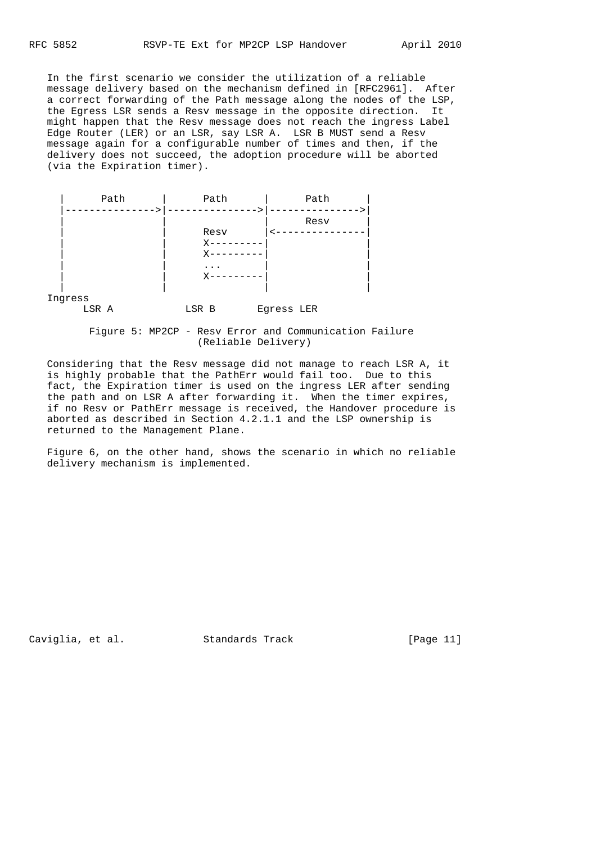In the first scenario we consider the utilization of a reliable message delivery based on the mechanism defined in [RFC2961]. After a correct forwarding of the Path message along the nodes of the LSP, the Egress LSR sends a Resv message in the opposite direction. It might happen that the Resv message does not reach the ingress Label Edge Router (LER) or an LSR, say LSR A. LSR B MUST send a Resv message again for a configurable number of times and then, if the delivery does not succeed, the adoption procedure will be aborted (via the Expiration timer).

| Path | Path    | Path |
|------|---------|------|
|      |         | Resv |
|      | Resv    |      |
|      | $X - -$ |      |
|      | X-      |      |
|      | $\cdot$ |      |
|      | Χ       |      |
|      |         |      |

Ingress

LSR A LSR B Egress LER

 Figure 5: MP2CP - Resv Error and Communication Failure (Reliable Delivery)

 Considering that the Resv message did not manage to reach LSR A, it is highly probable that the PathErr would fail too. Due to this fact, the Expiration timer is used on the ingress LER after sending the path and on LSR A after forwarding it. When the timer expires, if no Resv or PathErr message is received, the Handover procedure is aborted as described in Section 4.2.1.1 and the LSP ownership is returned to the Management Plane.

 Figure 6, on the other hand, shows the scenario in which no reliable delivery mechanism is implemented.

Caviglia, et al. Standards Track [Page 11]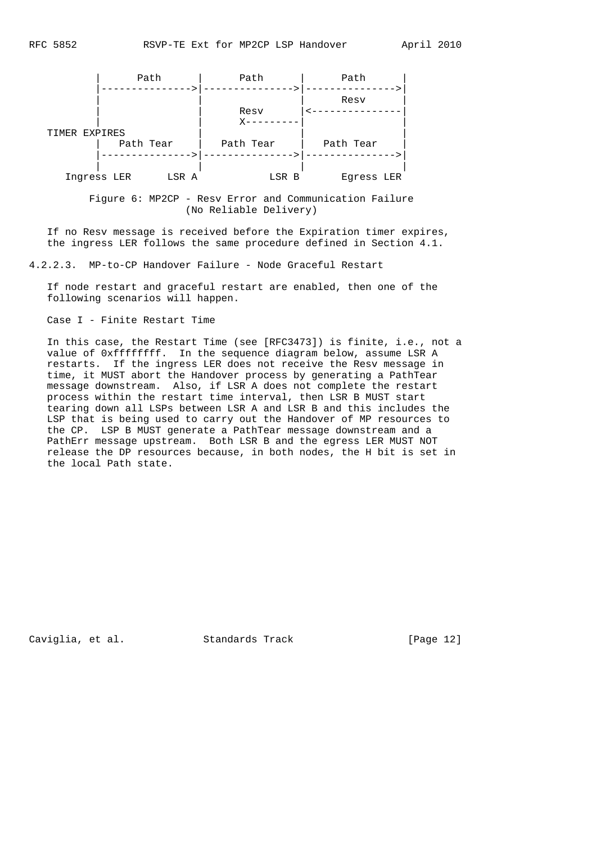

 Figure 6: MP2CP - Resv Error and Communication Failure (No Reliable Delivery)

 If no Resv message is received before the Expiration timer expires, the ingress LER follows the same procedure defined in Section 4.1.

4.2.2.3. MP-to-CP Handover Failure - Node Graceful Restart

 If node restart and graceful restart are enabled, then one of the following scenarios will happen.

Case I - Finite Restart Time

 In this case, the Restart Time (see [RFC3473]) is finite, i.e., not a value of 0xffffffff. In the sequence diagram below, assume LSR A restarts. If the ingress LER does not receive the Resv message in time, it MUST abort the Handover process by generating a PathTear message downstream. Also, if LSR A does not complete the restart process within the restart time interval, then LSR B MUST start tearing down all LSPs between LSR A and LSR B and this includes the LSP that is being used to carry out the Handover of MP resources to the CP. LSP B MUST generate a PathTear message downstream and a PathErr message upstream. Both LSR B and the egress LER MUST NOT release the DP resources because, in both nodes, the H bit is set in the local Path state.

Caviglia, et al. Standards Track [Page 12]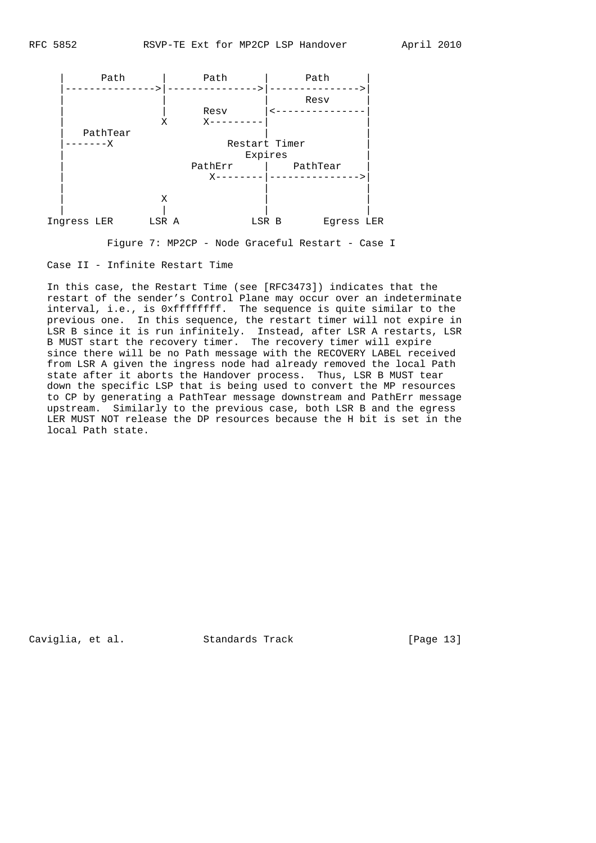

Figure 7: MP2CP - Node Graceful Restart - Case I

Case II - Infinite Restart Time

 In this case, the Restart Time (see [RFC3473]) indicates that the restart of the sender's Control Plane may occur over an indeterminate interval, i.e., is 0xffffffff. The sequence is quite similar to the previous one. In this sequence, the restart timer will not expire in LSR B since it is run infinitely. Instead, after LSR A restarts, LSR B MUST start the recovery timer. The recovery timer will expire since there will be no Path message with the RECOVERY LABEL received from LSR A given the ingress node had already removed the local Path state after it aborts the Handover process. Thus, LSR B MUST tear down the specific LSP that is being used to convert the MP resources to CP by generating a PathTear message downstream and PathErr message upstream. Similarly to the previous case, both LSR B and the egress LER MUST NOT release the DP resources because the H bit is set in the local Path state.

Caviglia, et al. Standards Track [Page 13]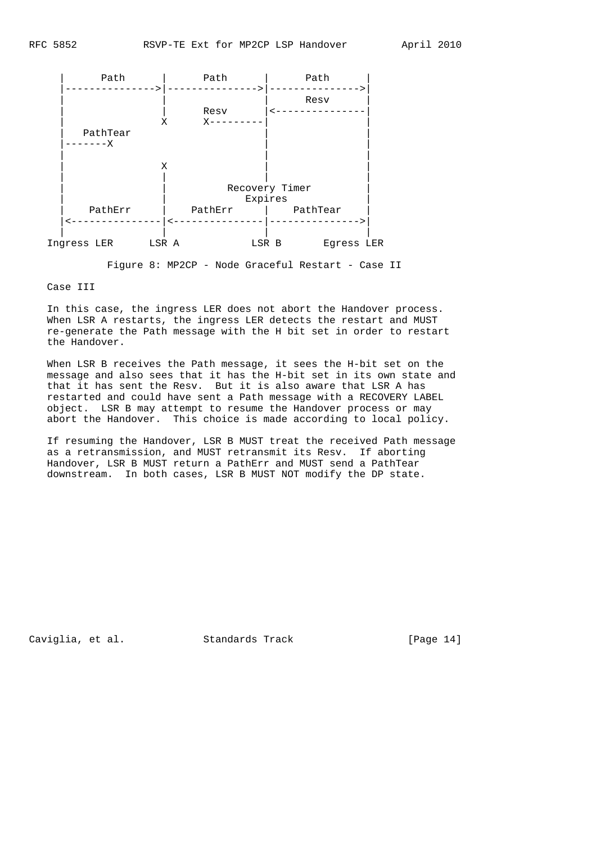

Figure 8: MP2CP - Node Graceful Restart - Case II

Case III

 In this case, the ingress LER does not abort the Handover process. When LSR A restarts, the ingress LER detects the restart and MUST re-generate the Path message with the H bit set in order to restart the Handover.

 When LSR B receives the Path message, it sees the H-bit set on the message and also sees that it has the H-bit set in its own state and that it has sent the Resv. But it is also aware that LSR A has restarted and could have sent a Path message with a RECOVERY LABEL object. LSR B may attempt to resume the Handover process or may abort the Handover. This choice is made according to local policy.

 If resuming the Handover, LSR B MUST treat the received Path message as a retransmission, and MUST retransmit its Resv. If aborting Handover, LSR B MUST return a PathErr and MUST send a PathTear downstream. In both cases, LSR B MUST NOT modify the DP state.

Caviglia, et al. Standards Track [Page 14]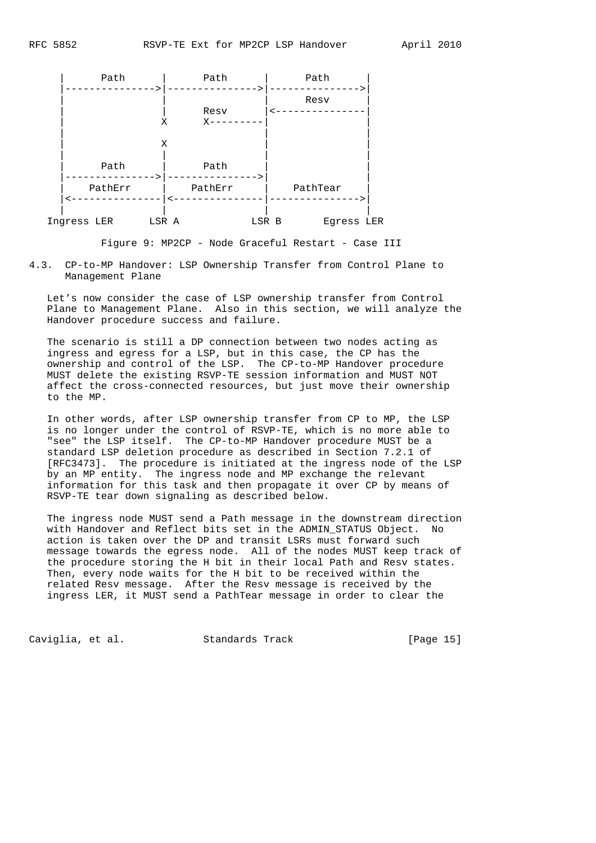

Figure 9: MP2CP - Node Graceful Restart - Case III

4.3. CP-to-MP Handover: LSP Ownership Transfer from Control Plane to Management Plane

 Let's now consider the case of LSP ownership transfer from Control Plane to Management Plane. Also in this section, we will analyze the Handover procedure success and failure.

 The scenario is still a DP connection between two nodes acting as ingress and egress for a LSP, but in this case, the CP has the ownership and control of the LSP. The CP-to-MP Handover procedure MUST delete the existing RSVP-TE session information and MUST NOT affect the cross-connected resources, but just move their ownership to the MP.

 In other words, after LSP ownership transfer from CP to MP, the LSP is no longer under the control of RSVP-TE, which is no more able to "see" the LSP itself. The CP-to-MP Handover procedure MUST be a standard LSP deletion procedure as described in Section 7.2.1 of [RFC3473]. The procedure is initiated at the ingress node of the LSP by an MP entity. The ingress node and MP exchange the relevant information for this task and then propagate it over CP by means of RSVP-TE tear down signaling as described below.

 The ingress node MUST send a Path message in the downstream direction with Handover and Reflect bits set in the ADMIN\_STATUS Object. No action is taken over the DP and transit LSRs must forward such message towards the egress node. All of the nodes MUST keep track of the procedure storing the H bit in their local Path and Resv states. Then, every node waits for the H bit to be received within the related Resv message. After the Resv message is received by the ingress LER, it MUST send a PathTear message in order to clear the

Caviglia, et al. Standards Track [Page 15]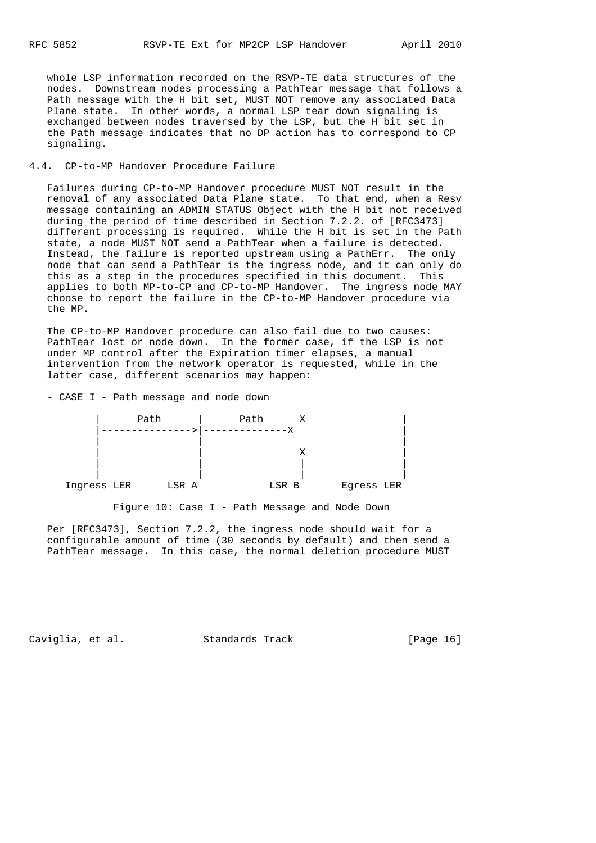whole LSP information recorded on the RSVP-TE data structures of the nodes. Downstream nodes processing a PathTear message that follows a Path message with the H bit set, MUST NOT remove any associated Data Plane state. In other words, a normal LSP tear down signaling is exchanged between nodes traversed by the LSP, but the H bit set in the Path message indicates that no DP action has to correspond to CP signaling.

## 4.4. CP-to-MP Handover Procedure Failure

 Failures during CP-to-MP Handover procedure MUST NOT result in the removal of any associated Data Plane state. To that end, when a Resv message containing an ADMIN\_STATUS Object with the H bit not received during the period of time described in Section 7.2.2. of [RFC3473] different processing is required. While the H bit is set in the Path state, a node MUST NOT send a PathTear when a failure is detected. Instead, the failure is reported upstream using a PathErr. The only node that can send a PathTear is the ingress node, and it can only do this as a step in the procedures specified in this document. This applies to both MP-to-CP and CP-to-MP Handover. The ingress node MAY choose to report the failure in the CP-to-MP Handover procedure via the MP.

 The CP-to-MP Handover procedure can also fail due to two causes: PathTear lost or node down. In the former case, if the LSP is not under MP control after the Expiration timer elapses, a manual intervention from the network operator is requested, while in the latter case, different scenarios may happen:

- CASE I - Path message and node down



Figure 10: Case I - Path Message and Node Down

 Per [RFC3473], Section 7.2.2, the ingress node should wait for a configurable amount of time (30 seconds by default) and then send a PathTear message. In this case, the normal deletion procedure MUST

Caviglia, et al. Standards Track [Page 16]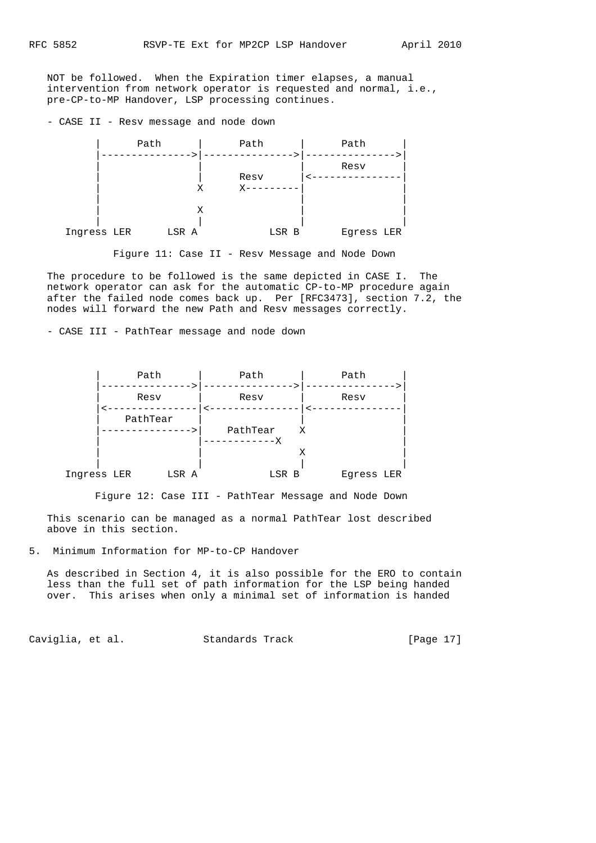NOT be followed. When the Expiration timer elapses, a manual intervention from network operator is requested and normal, i.e., pre-CP-to-MP Handover, LSP processing continues.

- CASE II - Resv message and node down



Figure 11: Case II - Resv Message and Node Down

 The procedure to be followed is the same depicted in CASE I. The network operator can ask for the automatic CP-to-MP procedure again after the failed node comes back up. Per [RFC3473], section 7.2, the nodes will forward the new Path and Resv messages correctly.

- CASE III - PathTear message and node down

|             | Path     | Path                  | Path            |
|-------------|----------|-----------------------|-----------------|
|             | Resv     | Resv                  | Resv            |
|             | PathTear | PathTear<br>--------X | X               |
| Ingress LER | LSR A    | LSR B                 | Х<br>Egress LER |

Figure 12: Case III - PathTear Message and Node Down

 This scenario can be managed as a normal PathTear lost described above in this section.

5. Minimum Information for MP-to-CP Handover

 As described in Section 4, it is also possible for the ERO to contain less than the full set of path information for the LSP being handed over. This arises when only a minimal set of information is handed

Caviglia, et al. Standards Track [Page 17]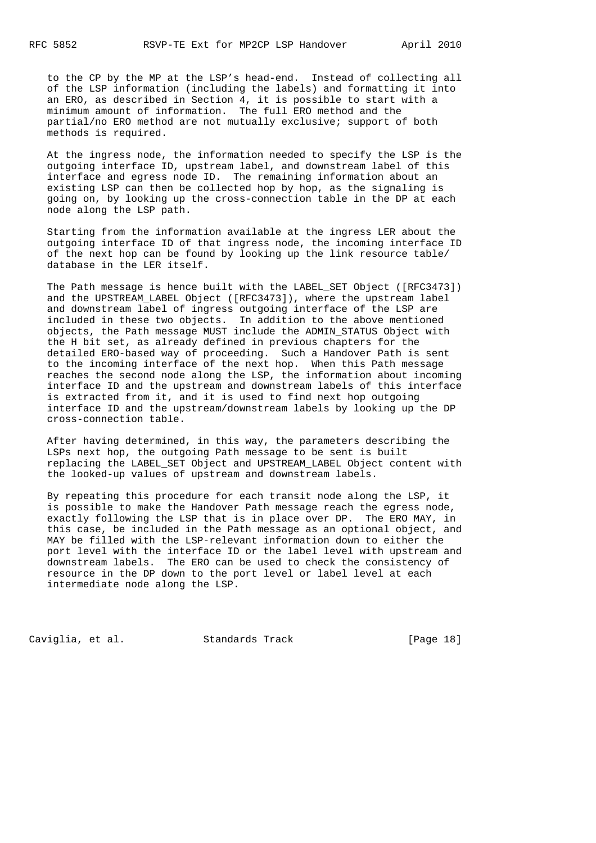to the CP by the MP at the LSP's head-end. Instead of collecting all of the LSP information (including the labels) and formatting it into an ERO, as described in Section 4, it is possible to start with a minimum amount of information. The full ERO method and the partial/no ERO method are not mutually exclusive; support of both methods is required.

 At the ingress node, the information needed to specify the LSP is the outgoing interface ID, upstream label, and downstream label of this interface and egress node ID. The remaining information about an existing LSP can then be collected hop by hop, as the signaling is going on, by looking up the cross-connection table in the DP at each node along the LSP path.

 Starting from the information available at the ingress LER about the outgoing interface ID of that ingress node, the incoming interface ID of the next hop can be found by looking up the link resource table/ database in the LER itself.

 The Path message is hence built with the LABEL\_SET Object ([RFC3473]) and the UPSTREAM\_LABEL Object ([RFC3473]), where the upstream label and downstream label of ingress outgoing interface of the LSP are included in these two objects. In addition to the above mentioned objects, the Path message MUST include the ADMIN\_STATUS Object with the H bit set, as already defined in previous chapters for the detailed ERO-based way of proceeding. Such a Handover Path is sent to the incoming interface of the next hop. When this Path message reaches the second node along the LSP, the information about incoming interface ID and the upstream and downstream labels of this interface is extracted from it, and it is used to find next hop outgoing interface ID and the upstream/downstream labels by looking up the DP cross-connection table.

 After having determined, in this way, the parameters describing the LSPs next hop, the outgoing Path message to be sent is built replacing the LABEL\_SET Object and UPSTREAM\_LABEL Object content with the looked-up values of upstream and downstream labels.

 By repeating this procedure for each transit node along the LSP, it is possible to make the Handover Path message reach the egress node, exactly following the LSP that is in place over DP. The ERO MAY, in this case, be included in the Path message as an optional object, and MAY be filled with the LSP-relevant information down to either the port level with the interface ID or the label level with upstream and downstream labels. The ERO can be used to check the consistency of resource in the DP down to the port level or label level at each intermediate node along the LSP.

Caviglia, et al. Standards Track [Page 18]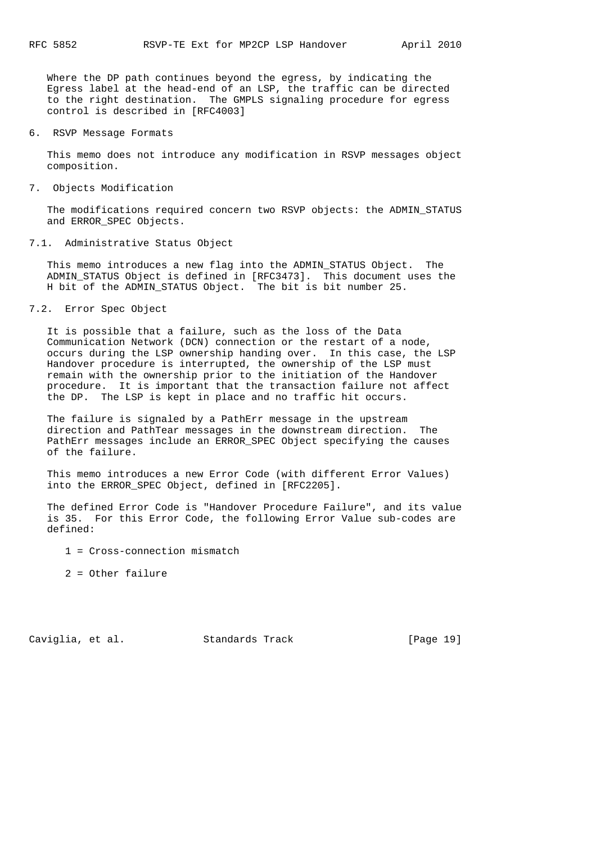Where the DP path continues beyond the egress, by indicating the Egress label at the head-end of an LSP, the traffic can be directed to the right destination. The GMPLS signaling procedure for egress control is described in [RFC4003]

6. RSVP Message Formats

 This memo does not introduce any modification in RSVP messages object composition.

7. Objects Modification

 The modifications required concern two RSVP objects: the ADMIN\_STATUS and ERROR\_SPEC Objects.

7.1. Administrative Status Object

 This memo introduces a new flag into the ADMIN\_STATUS Object. The ADMIN\_STATUS Object is defined in [RFC3473]. This document uses the H bit of the ADMIN\_STATUS Object. The bit is bit number 25.

7.2. Error Spec Object

 It is possible that a failure, such as the loss of the Data Communication Network (DCN) connection or the restart of a node, occurs during the LSP ownership handing over. In this case, the LSP Handover procedure is interrupted, the ownership of the LSP must remain with the ownership prior to the initiation of the Handover procedure. It is important that the transaction failure not affect the DP. The LSP is kept in place and no traffic hit occurs.

 The failure is signaled by a PathErr message in the upstream direction and PathTear messages in the downstream direction. The PathErr messages include an ERROR\_SPEC Object specifying the causes of the failure.

 This memo introduces a new Error Code (with different Error Values) into the ERROR\_SPEC Object, defined in [RFC2205].

 The defined Error Code is "Handover Procedure Failure", and its value is 35. For this Error Code, the following Error Value sub-codes are defined:

- 1 = Cross-connection mismatch
- 2 = Other failure

Caviglia, et al. Standards Track [Page 19]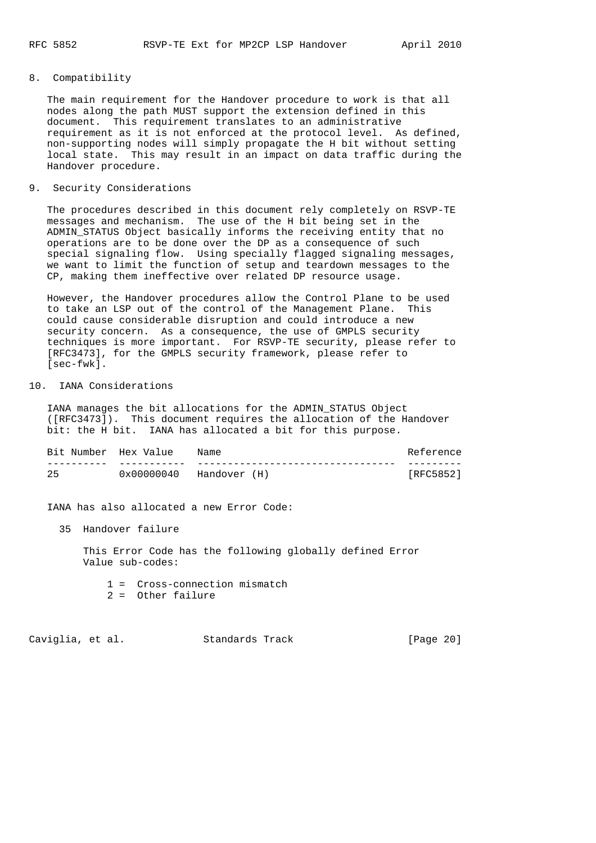# 8. Compatibility

 The main requirement for the Handover procedure to work is that all nodes along the path MUST support the extension defined in this document. This requirement translates to an administrative requirement as it is not enforced at the protocol level. As defined, non-supporting nodes will simply propagate the H bit without setting local state. This may result in an impact on data traffic during the Handover procedure.

### 9. Security Considerations

 The procedures described in this document rely completely on RSVP-TE messages and mechanism. The use of the H bit being set in the ADMIN\_STATUS Object basically informs the receiving entity that no operations are to be done over the DP as a consequence of such special signaling flow. Using specially flagged signaling messages, we want to limit the function of setup and teardown messages to the CP, making them ineffective over related DP resource usage.

 However, the Handover procedures allow the Control Plane to be used to take an LSP out of the control of the Management Plane. This could cause considerable disruption and could introduce a new security concern. As a consequence, the use of GMPLS security techniques is more important. For RSVP-TE security, please refer to [RFC3473], for the GMPLS security framework, please refer to [sec-fwk].

# 10. IANA Considerations

 IANA manages the bit allocations for the ADMIN\_STATUS Object ([RFC3473]). This document requires the allocation of the Handover bit: the H bit. IANA has allocated a bit for this purpose.

| Bit Number Hex Value |            | Name         | Reference |
|----------------------|------------|--------------|-----------|
|                      |            |              |           |
|                      | 0x00000040 | Handover (H) | [RFC5852] |

IANA has also allocated a new Error Code:

35 Handover failure

 This Error Code has the following globally defined Error Value sub-codes:

- 1 = Cross-connection mismatch
- 2 = Other failure

Caviglia, et al. Standards Track [Page 20]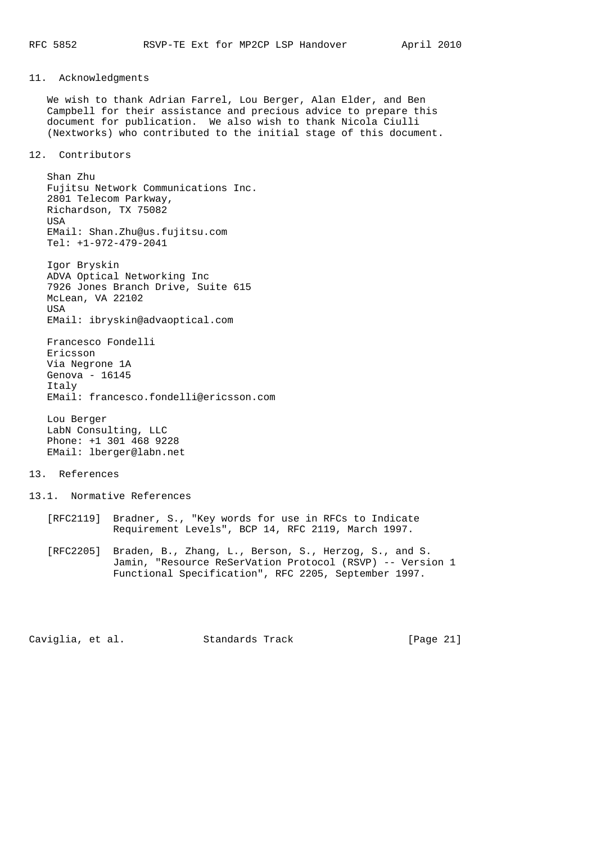# 11. Acknowledgments

 We wish to thank Adrian Farrel, Lou Berger, Alan Elder, and Ben Campbell for their assistance and precious advice to prepare this document for publication. We also wish to thank Nicola Ciulli (Nextworks) who contributed to the initial stage of this document.

#### 12. Contributors

 Shan Zhu Fujitsu Network Communications Inc. 2801 Telecom Parkway, Richardson, TX 75082 USA EMail: Shan.Zhu@us.fujitsu.com Tel: +1-972-479-2041

 Igor Bryskin ADVA Optical Networking Inc 7926 Jones Branch Drive, Suite 615 McLean, VA 22102 USA EMail: ibryskin@advaoptical.com

 Francesco Fondelli Ericsson Via Negrone 1A Genova - 16145 Italy EMail: francesco.fondelli@ericsson.com

 Lou Berger LabN Consulting, LLC Phone: +1 301 468 9228 EMail: lberger@labn.net

#### 13. References

- 13.1. Normative References
	- [RFC2119] Bradner, S., "Key words for use in RFCs to Indicate Requirement Levels", BCP 14, RFC 2119, March 1997.
	- [RFC2205] Braden, B., Zhang, L., Berson, S., Herzog, S., and S. Jamin, "Resource ReSerVation Protocol (RSVP) -- Version 1 Functional Specification", RFC 2205, September 1997.

Caviglia, et al. Standards Track [Page 21]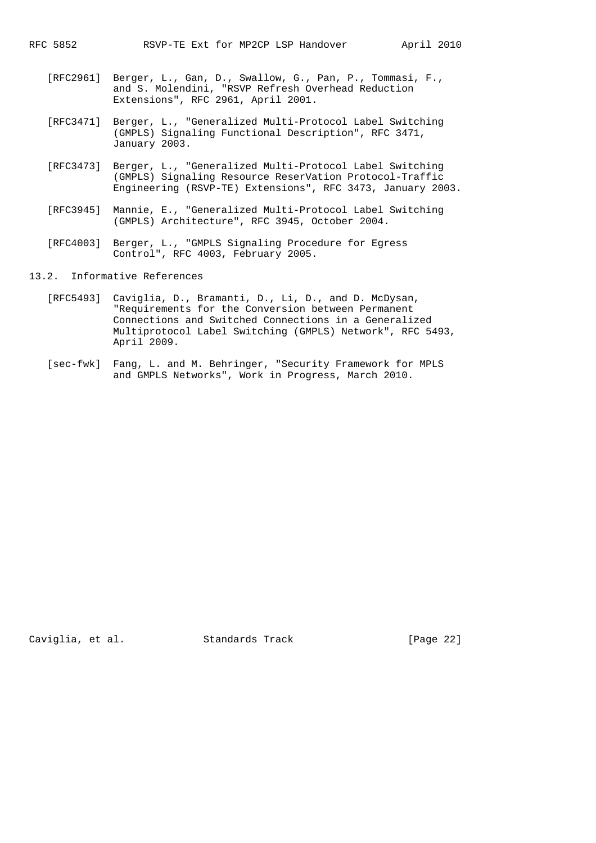- [RFC2961] Berger, L., Gan, D., Swallow, G., Pan, P., Tommasi, F., and S. Molendini, "RSVP Refresh Overhead Reduction Extensions", RFC 2961, April 2001.
- [RFC3471] Berger, L., "Generalized Multi-Protocol Label Switching (GMPLS) Signaling Functional Description", RFC 3471, January 2003.
- [RFC3473] Berger, L., "Generalized Multi-Protocol Label Switching (GMPLS) Signaling Resource ReserVation Protocol-Traffic Engineering (RSVP-TE) Extensions", RFC 3473, January 2003.
- [RFC3945] Mannie, E., "Generalized Multi-Protocol Label Switching (GMPLS) Architecture", RFC 3945, October 2004.
- [RFC4003] Berger, L., "GMPLS Signaling Procedure for Egress Control", RFC 4003, February 2005.
- 13.2. Informative References
	- [RFC5493] Caviglia, D., Bramanti, D., Li, D., and D. McDysan, "Requirements for the Conversion between Permanent Connections and Switched Connections in a Generalized Multiprotocol Label Switching (GMPLS) Network", RFC 5493, April 2009.
	- [sec-fwk] Fang, L. and M. Behringer, "Security Framework for MPLS and GMPLS Networks", Work in Progress, March 2010.

Caviglia, et al. Standards Track [Page 22]